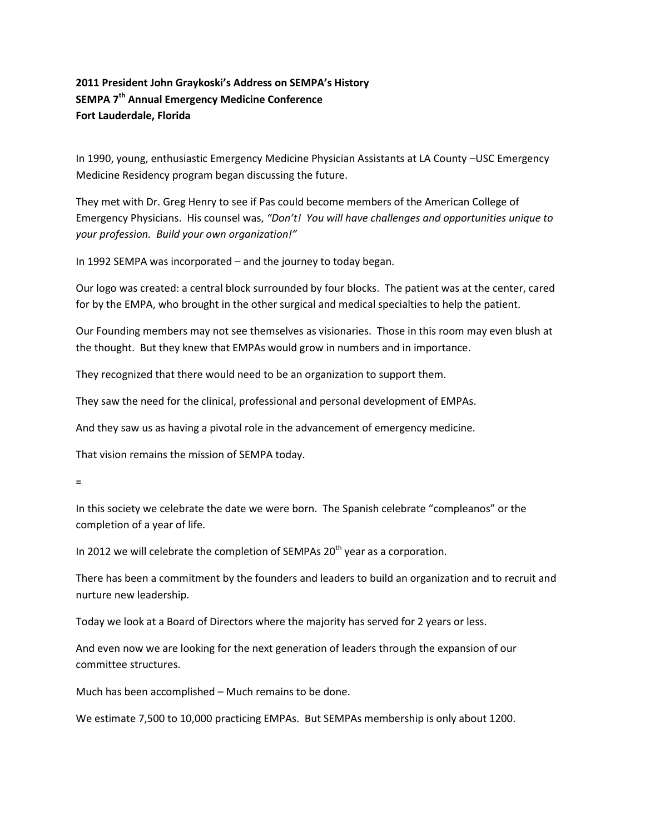## **2011 President John Graykoski's Address on SEMPA's History SEMPA 7 th Annual Emergency Medicine Conference Fort Lauderdale, Florida**

In 1990, young, enthusiastic Emergency Medicine Physician Assistants at LA County –USC Emergency Medicine Residency program began discussing the future.

They met with Dr. Greg Henry to see if Pas could become members of the American College of Emergency Physicians. His counsel was, *"Don't! You will have challenges and opportunities unique to your profession. Build your own organization!"*

In 1992 SEMPA was incorporated – and the journey to today began.

Our logo was created: a central block surrounded by four blocks. The patient was at the center, cared for by the EMPA, who brought in the other surgical and medical specialties to help the patient.

Our Founding members may not see themselves as visionaries. Those in this room may even blush at the thought. But they knew that EMPAs would grow in numbers and in importance.

They recognized that there would need to be an organization to support them.

They saw the need for the clinical, professional and personal development of EMPAs.

And they saw us as having a pivotal role in the advancement of emergency medicine.

That vision remains the mission of SEMPA today.

=

In this society we celebrate the date we were born. The Spanish celebrate "compleanos" or the completion of a year of life.

In 2012 we will celebrate the completion of SEMPAs  $20<sup>th</sup>$  year as a corporation.

There has been a commitment by the founders and leaders to build an organization and to recruit and nurture new leadership.

Today we look at a Board of Directors where the majority has served for 2 years or less.

And even now we are looking for the next generation of leaders through the expansion of our committee structures.

Much has been accomplished – Much remains to be done.

We estimate 7,500 to 10,000 practicing EMPAs. But SEMPAs membership is only about 1200.